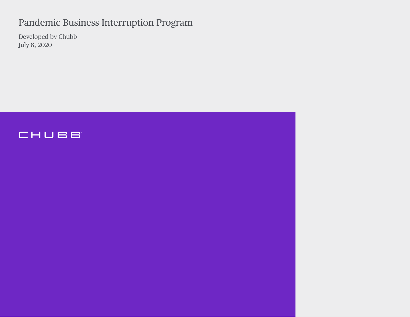# Pandemic Business Interruption Program

Developed by Chubb July 8, 2020

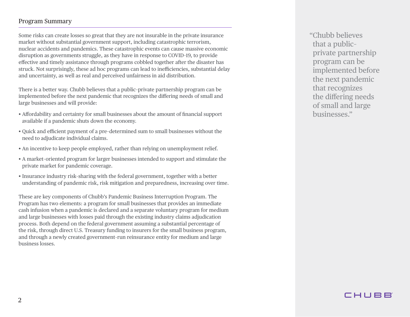#### Program Summary

Some risks can create losses so great that they are not insurable in the private insurance market without substantial government support, including catastrophic terrorism, nuclear accidents and pandemics. These catastrophic events can cause massive economic disruption as governments struggle, as they have in response to COVID–19, to provide efective and timely assistance through programs cobbled together after the disaster has struck. Not surprisingly, these ad hoc programs can lead to inefficiencies, substantial delay and uncertainty, as well as real and perceived unfairness in aid distribution.

There is a better way. Chubb believes that a public–private partnership program can be implemented before the next pandemic that recognizes the difering needs of small and large businesses and will provide:

- Afordability and certainty for small businesses about the amount of fnancial support available if a pandemic shuts down the economy.
- Quick and efficient payment of a pre-determined sum to small businesses without the need to adjudicate individual claims.
- An incentive to keep people employed, rather than relying on unemployment relief.
- A market–oriented program for larger businesses intended to support and stimulate the private market for pandemic coverage.
- Insurance industry risk–sharing with the federal government, together with a better understanding of pandemic risk, risk mitigation and preparedness, increasing over time.

These are key components of Chubb's Pandemic Business Interruption Program. The Program has two elements: a program for small businesses that provides an immediate cash infusion when a pandemic is declared and a separate voluntary program for medium and large businesses with losses paid through the existing industry claims adjudication process. Both depend on the federal government assuming a substantial percentage of the risk, through direct U.S. Treasury funding to insurers for the small business program, and through a newly created government–run reinsurance entity for medium and large business losses.

"Chubb believes that a public– private partnership program can be implemented before the next pandemic that recognizes the difering needs of small and large businesses."

## CHUBB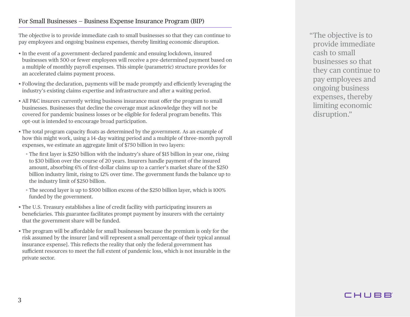### For Small Businesses — Business Expense Insurance Program (BIP)

The objective is to provide immediate cash to small businesses so that they can continue to pay employees and ongoing business expenses, thereby limiting economic disruption.

- In the event of a government–declared pandemic and ensuing lockdown, insured businesses with 500 or fewer employees will receive a pre–determined payment based on a multiple of monthly payroll expenses. This simple (parametric) structure provides for an accelerated claims payment process.
- Following the declaration, payments will be made promptly and efficiently leveraging the industry's existing claims expertise and infrastructure and after a waiting period.
- All P&C insurers currently writing business insurance must ofer the program to small businesses. Businesses that decline the coverage must acknowledge they will not be covered for pandemic business losses or be eligible for federal program benefts. This opt–out is intended to encourage broad participation.
- The total program capacity foats as determined by the government. As an example of how this might work, using a 14–day waiting period and a multiple of three–month payroll expenses, we estimate an aggregate limit of \$750 billion in two layers:
	- • The frst layer is \$250 billion with the industry's share of \$15 billion in year one, rising to \$30 billion over the course of 20 years. Insurers handle payment of the insured amount, absorbing 6% of frst–dollar claims up to a carrier's market share of the \$250 billion industry limit, rising to 12% over time. The government funds the balance up to the industry limit of \$250 billion.
	- • The second layer is up to \$500 billion excess of the \$250 billion layer, which is 100% funded by the government.
- The U.S. Treasury establishes a line of credit facility with participating insurers as benefciaries. This guarantee facilitates prompt payment by insurers with the certainty that the government share will be funded.
- The program will be afordable for small businesses because the premium is only for the risk assumed by the insurer [and will represent a small percentage of their typical annual insurance expense]. This reflects the reality that only the federal government has sufficient resources to meet the full extent of pandemic loss, which is not insurable in the private sector.

"The objective is to provide immediate cash to small businesses so that they can continue to pay employees and ongoing business expenses, thereby limiting economic disruption."

# CHUBB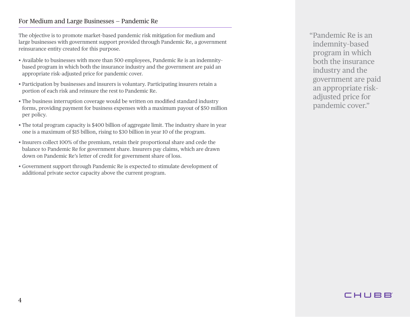### For Medium and Large Businesses — Pandemic Re

The objective is to promote market–based pandemic risk mitigation for medium and large businesses with government support provided through Pandemic Re, a government reinsurance entity created for this purpose.

- Available to businesses with more than 500 employees, Pandemic Re is an indemnity– based program in which both the insurance industry and the government are paid an appropriate risk–adjusted price for pandemic cover.
- Participation by businesses and insurers is voluntary. Participating insurers retain a portion of each risk and reinsure the rest to Pandemic Re.
- The business interruption coverage would be written on modifed standard industry forms, providing payment for business expenses with a maximum payout of \$50 million per policy.
- The total program capacity is \$400 billion of aggregate limit. The industry share in year one is a maximum of \$15 billion, rising to \$30 billion in year 10 of the program.
- Insurers collect 100% of the premium, retain their proportional share and cede the balance to Pandemic Re for government share. Insurers pay claims, which are drawn down on Pandemic Re's letter of credit for government share of loss.
- Government support through Pandemic Re is expected to stimulate development of additional private sector capacity above the current program.

"Pandemic Re is an indemnity–based program in which both the insurance industry and the government are paid an appropriate risk– adjusted price for pandemic cover."

## CHUBB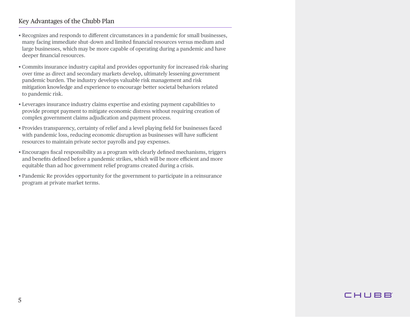### Key Advantages of the Chubb Plan

- Recognizes and responds to diferent circumstances in a pandemic for small businesses, many facing immediate shut–down and limited fnancial resources versus medium and large businesses, which may be more capable of operating during a pandemic and have deeper fnancial resources.
- Commits insurance industry capital and provides opportunity for increased risk–sharing over time as direct and secondary markets develop, ultimately lessening government pandemic burden. The industry develops valuable risk management and risk mitigation knowledge and experience to encourage better societal behaviors related to pandemic risk.
- Leverages insurance industry claims expertise and existing payment capabilities to provide prompt payment to mitigate economic distress without requiring creation of complex government claims adjudication and payment process.
- Provides transparency, certainty of relief and a level playing feld for businesses faced with pandemic loss, reducing economic disruption as businesses will have sufficient resources to maintain private sector payrolls and pay expenses.
- Encourages fscal responsibility as a program with clearly defned mechanisms, triggers and benefits defined before a pandemic strikes, which will be more efficient and more equitable than ad hoc government relief programs created during a crisis.
- Pandemic Re provides opportunity for the government to participate in a reinsurance program at private market terms.